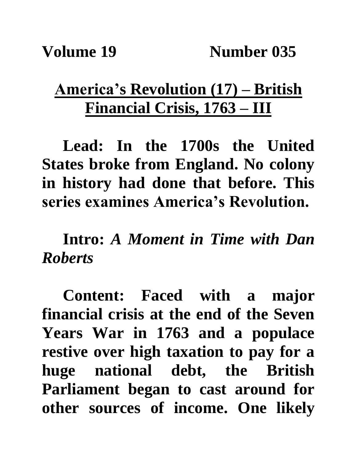## **America's Revolution (17) – British Financial Crisis, 1763 – III**

**Lead: In the 1700s the United States broke from England. No colony in history had done that before. This series examines America's Revolution.**

**Intro:** *A Moment in Time with Dan Roberts*

**Content: Faced with a major financial crisis at the end of the Seven Years War in 1763 and a populace restive over high taxation to pay for a huge national debt, the British Parliament began to cast around for other sources of income. One likely**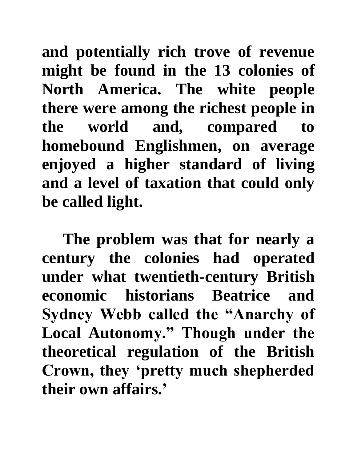**and potentially rich trove of revenue might be found in the 13 colonies of North America. The white people there were among the richest people in the world and, compared to homebound Englishmen, on average enjoyed a higher standard of living and a level of taxation that could only be called light.**

**The problem was that for nearly a century the colonies had operated under what twentieth-century British economic historians Beatrice and Sydney Webb called the "Anarchy of Local Autonomy." Though under the theoretical regulation of the British Crown, they 'pretty much shepherded their own affairs.'**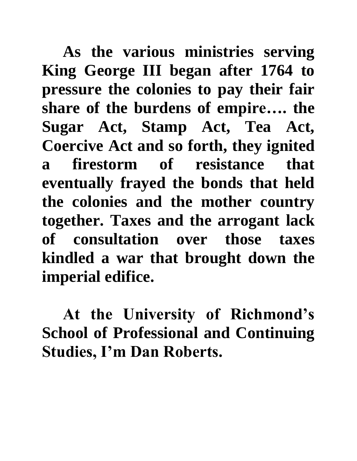**As the various ministries serving King George III began after 1764 to pressure the colonies to pay their fair share of the burdens of empire…. the Sugar Act, Stamp Act, Tea Act, Coercive Act and so forth, they ignited a firestorm of resistance that eventually frayed the bonds that held the colonies and the mother country together. Taxes and the arrogant lack of consultation over those taxes kindled a war that brought down the imperial edifice.**

**At the University of Richmond's School of Professional and Continuing Studies, I'm Dan Roberts.**